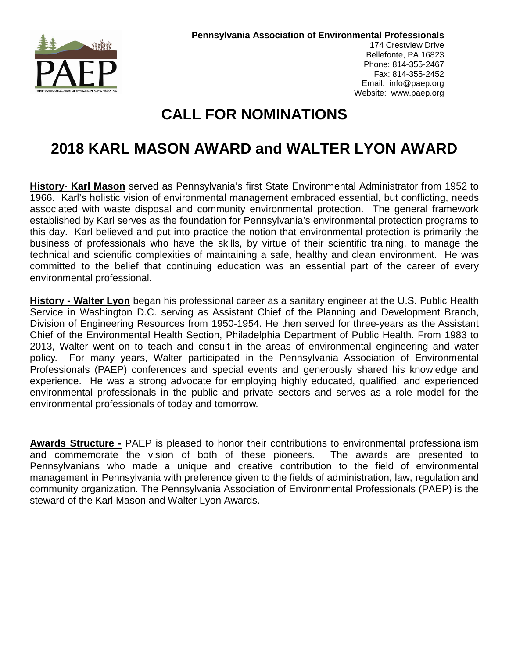

# **CALL FOR NOMINATIONS**

# **2018 KARL MASON AWARD and WALTER LYON AWARD**

**History**- **Karl Mason** served as Pennsylvania's first State Environmental Administrator from 1952 to 1966. Karl's holistic vision of environmental management embraced essential, but conflicting, needs associated with waste disposal and community environmental protection. The general framework established by Karl serves as the foundation for Pennsylvania's environmental protection programs to this day. Karl believed and put into practice the notion that environmental protection is primarily the business of professionals who have the skills, by virtue of their scientific training, to manage the technical and scientific complexities of maintaining a safe, healthy and clean environment. He was committed to the belief that continuing education was an essential part of the career of every environmental professional.

**History - Walter Lyon** began his professional career as a sanitary engineer at the U.S. Public Health Service in Washington D.C. serving as Assistant Chief of the Planning and Development Branch, Division of Engineering Resources from 1950-1954. He then served for three-years as the Assistant Chief of the Environmental Health Section, Philadelphia Department of Public Health. From 1983 to 2013, Walter went on to teach and consult in the areas of environmental engineering and water policy. For many years, Walter participated in the Pennsylvania Association of Environmental Professionals (PAEP) conferences and special events and generously shared his knowledge and experience. He was a strong advocate for employing highly educated, qualified, and experienced environmental professionals in the public and private sectors and serves as a role model for the environmental professionals of today and tomorrow.

**Awards Structure -** PAEP is pleased to honor their contributions to environmental professionalism and commemorate the vision of both of these pioneers. The awards are presented to Pennsylvanians who made a unique and creative contribution to the field of environmental management in Pennsylvania with preference given to the fields of administration, law, regulation and community organization. The Pennsylvania Association of Environmental Professionals (PAEP) is the steward of the Karl Mason and Walter Lyon Awards.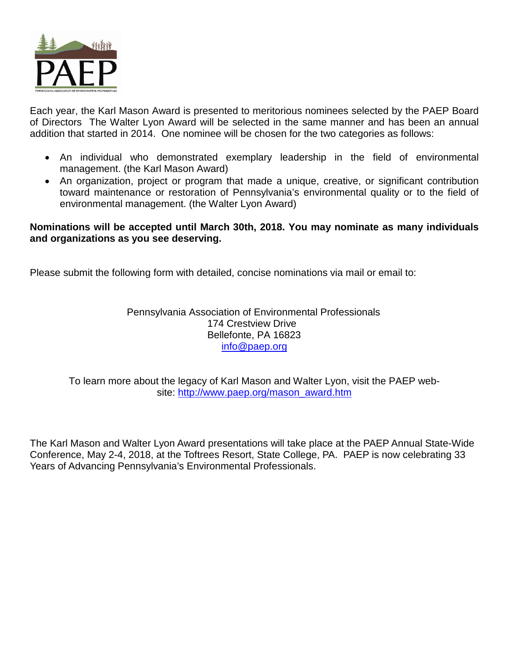

Each year, the Karl Mason Award is presented to meritorious nominees selected by the PAEP Board of Directors The Walter Lyon Award will be selected in the same manner and has been an annual addition that started in 2014. One nominee will be chosen for the two categories as follows:

- An individual who demonstrated exemplary leadership in the field of environmental management. (the Karl Mason Award)
- An organization, project or program that made a unique, creative, or significant contribution toward maintenance or restoration of Pennsylvania's environmental quality or to the field of environmental management. (the Walter Lyon Award)

### **Nominations will be accepted until March 30th, 2018. You may nominate as many individuals and organizations as you see deserving.**

Please submit the following form with detailed, concise nominations via mail or email to:

Pennsylvania Association of Environmental Professionals 174 Crestview Drive Bellefonte, PA 16823 [info@paep.org](mailto:info@paep.org)

To learn more about the legacy of Karl Mason and Walter Lyon, visit the PAEP website: [http://www.paep.org/mason\\_award.htm](http://www.paep.org/mason_award.htm)

The Karl Mason and Walter Lyon Award presentations will take place at the PAEP Annual State-Wide Conference, May 2-4, 2018, at the Toftrees Resort, State College, PA. PAEP is now celebrating 33 Years of Advancing Pennsylvania's Environmental Professionals.